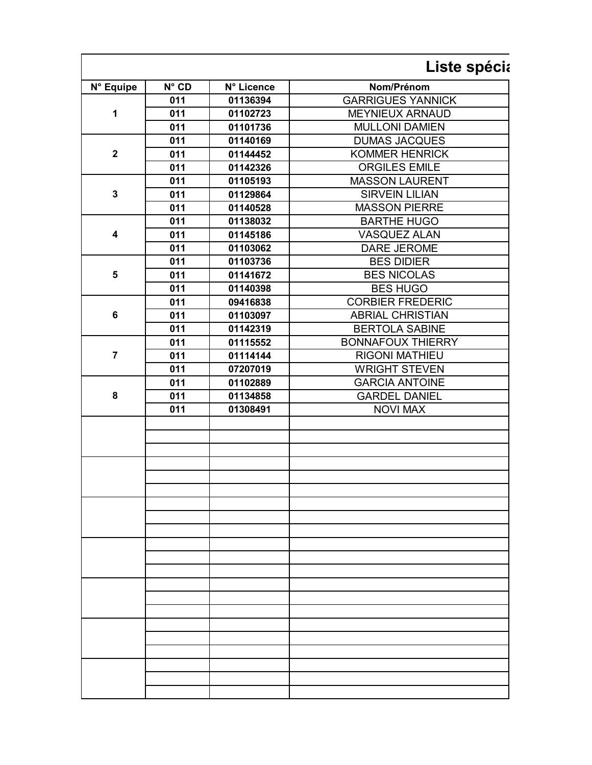|                |                |            | Liste spécia             |
|----------------|----------------|------------|--------------------------|
| N° Equipe      | $N^{\circ}$ CD | N° Licence | Nom/Prénom               |
| 1              | 011            | 01136394   | <b>GARRIGUES YANNICK</b> |
|                | 011            | 01102723   | <b>MEYNIEUX ARNAUD</b>   |
|                | 011            | 01101736   | <b>MULLONI DAMIEN</b>    |
|                | 011            | 01140169   | <b>DUMAS JACQUES</b>     |
| $\mathbf 2$    | 011            | 01144452   | <b>KOMMER HENRICK</b>    |
|                | 011            | 01142326   | <b>ORGILES EMILE</b>     |
|                | 011            | 01105193   | <b>MASSON LAURENT</b>    |
| 3              | 011            | 01129864   | <b>SIRVEIN LILIAN</b>    |
|                | 011            | 01140528   | <b>MASSON PIERRE</b>     |
|                | 011            | 01138032   | <b>BARTHE HUGO</b>       |
| 4              | 011            | 01145186   | <b>VASQUEZ ALAN</b>      |
|                | 011            | 01103062   | DARE JEROME              |
|                | 011            | 01103736   | <b>BES DIDIER</b>        |
| 5              | 011            | 01141672   | <b>BES NICOLAS</b>       |
|                | 011            | 01140398   | <b>BES HUGO</b>          |
|                | 011            | 09416838   | <b>CORBIER FREDERIC</b>  |
| $\bf 6$        | 011            | 01103097   | <b>ABRIAL CHRISTIAN</b>  |
|                | 011            | 01142319   | <b>BERTOLA SABINE</b>    |
|                | 011            | 01115552   | <b>BONNAFOUX THIERRY</b> |
| $\overline{7}$ | 011            | 01114144   | <b>RIGONI MATHIEU</b>    |
|                | 011            | 07207019   | <b>WRIGHT STEVEN</b>     |
|                | 011            | 01102889   | <b>GARCIA ANTOINE</b>    |
| 8              | 011            | 01134858   | <b>GARDEL DANIEL</b>     |
|                | 011            | 01308491   | <b>NOVI MAX</b>          |
|                |                |            |                          |
|                |                |            |                          |
|                |                |            |                          |
|                |                |            |                          |
|                |                |            |                          |
|                |                |            |                          |
|                |                |            |                          |
|                |                |            |                          |
|                |                |            |                          |
|                |                |            |                          |
|                |                |            |                          |
|                |                |            |                          |
|                |                |            |                          |
|                |                |            |                          |
|                |                |            |                          |
|                |                |            |                          |
|                |                |            |                          |
|                |                |            |                          |
|                |                |            |                          |
|                |                |            |                          |
|                |                |            |                          |
|                |                |            |                          |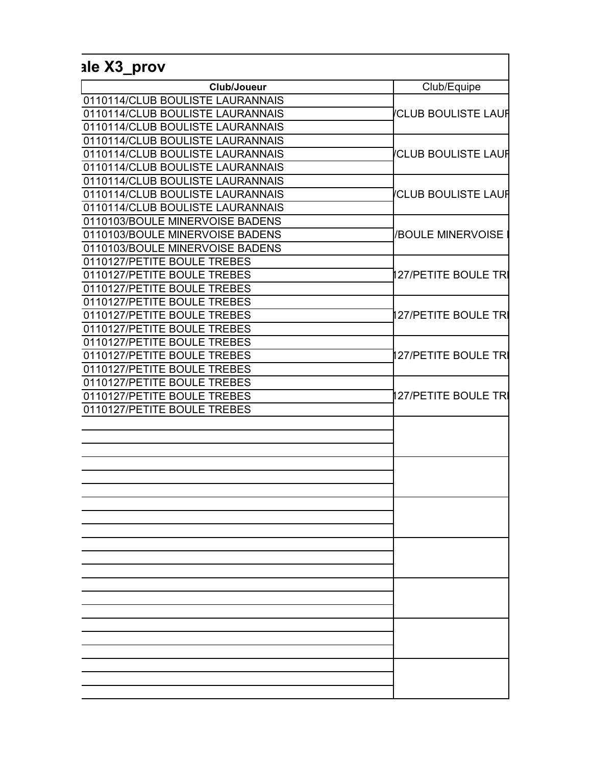## ale X3\_prov

| Club/Joueur                      | Club/Equipe              |
|----------------------------------|--------------------------|
| 0110114/CLUB BOULISTE LAURANNAIS |                          |
| 0110114/CLUB BOULISTE LAURANNAIS | /CLUB BOULISTE LAUF      |
| 0110114/CLUB BOULISTE LAURANNAIS |                          |
| 0110114/CLUB BOULISTE LAURANNAIS |                          |
| 0110114/CLUB BOULISTE LAURANNAIS | /CLUB BOULISTE LAUF      |
| 0110114/CLUB BOULISTE LAURANNAIS |                          |
| 0110114/CLUB BOULISTE LAURANNAIS |                          |
| 0110114/CLUB BOULISTE LAURANNAIS | /CLUB BOULISTE LAUF      |
| 0110114/CLUB BOULISTE LAURANNAIS |                          |
| 0110103/BOULE MINERVOISE BADENS  |                          |
| 0110103/BOULE MINERVOISE BADENS  | <b>/BOULE MINERVOISE</b> |
| 0110103/BOULE MINERVOISE BADENS  |                          |
| 0110127/PETITE BOULE TREBES      |                          |
| 0110127/PETITE BOULE TREBES      | 127/PETITE BOULE TRI     |
| 0110127/PETITE BOULE TREBES      |                          |
| 0110127/PETITE BOULE TREBES      |                          |
| 0110127/PETITE BOULE TREBES      | 127/PETITE BOULE TRI     |
| 0110127/PETITE BOULE TREBES      |                          |
| 0110127/PETITE BOULE TREBES      |                          |
| 0110127/PETITE BOULE TREBES      | 127/PETITE BOULE TRI     |
| 0110127/PETITE BOULE TREBES      |                          |
| 0110127/PETITE BOULE TREBES      |                          |
| 0110127/PETITE BOULE TREBES      | 127/PETITE BOULE TRI     |
| 0110127/PETITE BOULE TREBES      |                          |
|                                  |                          |
|                                  |                          |
|                                  |                          |
|                                  |                          |
|                                  |                          |
|                                  |                          |
|                                  |                          |
|                                  |                          |
|                                  |                          |
|                                  |                          |
|                                  |                          |
|                                  |                          |
|                                  |                          |
|                                  |                          |
|                                  |                          |
|                                  |                          |
|                                  |                          |
|                                  |                          |
|                                  |                          |
|                                  |                          |
|                                  |                          |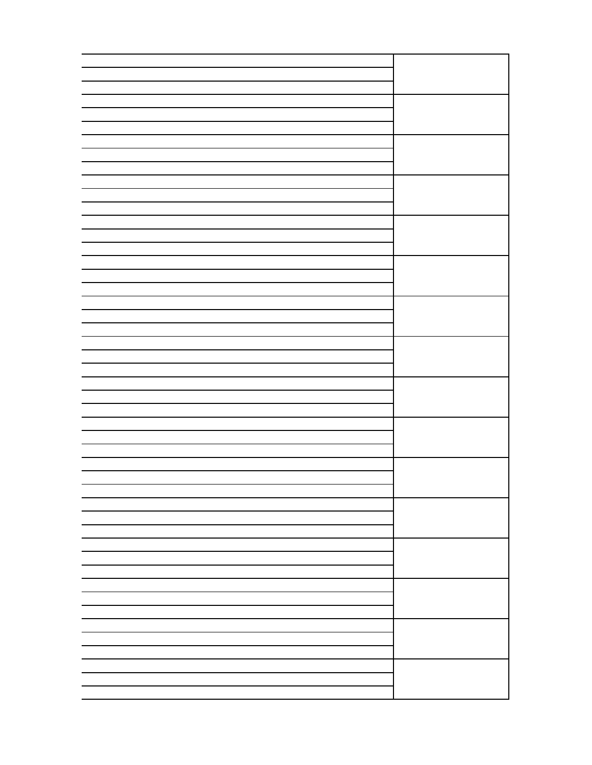| - 1 |
|-----|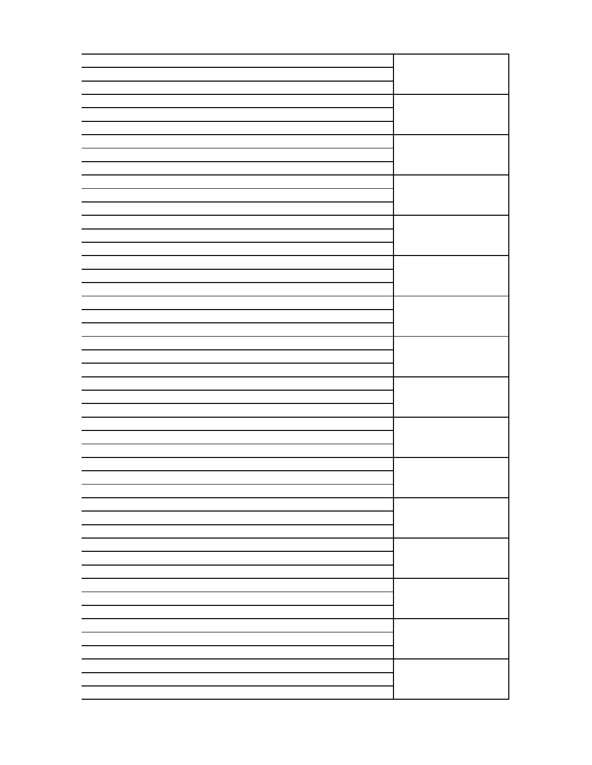| - 1 |
|-----|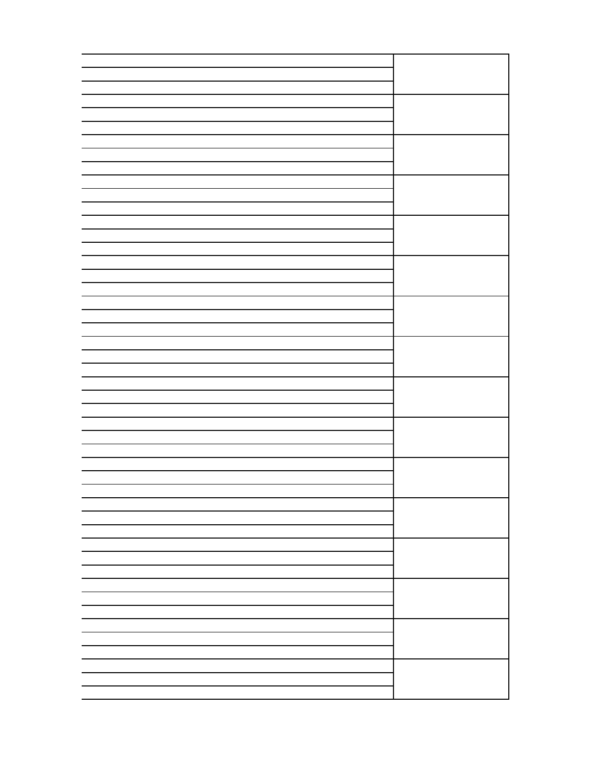| - 1 |
|-----|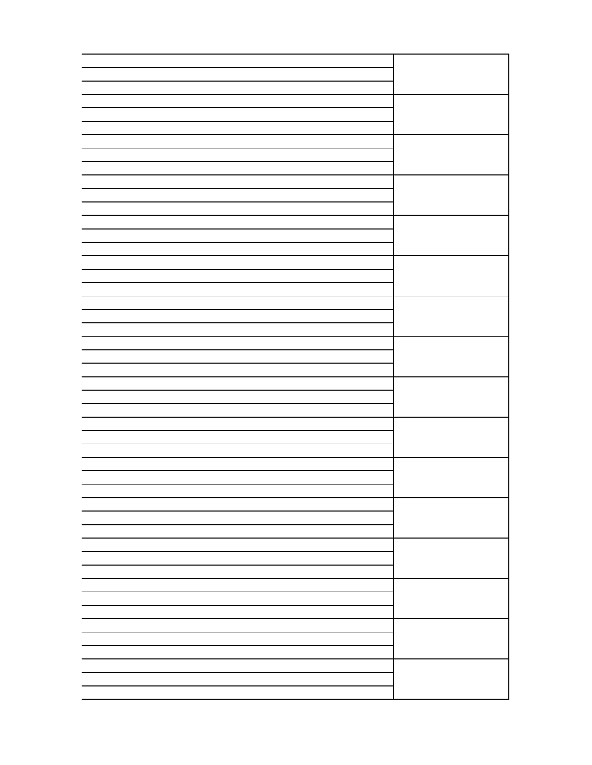| - 1 |
|-----|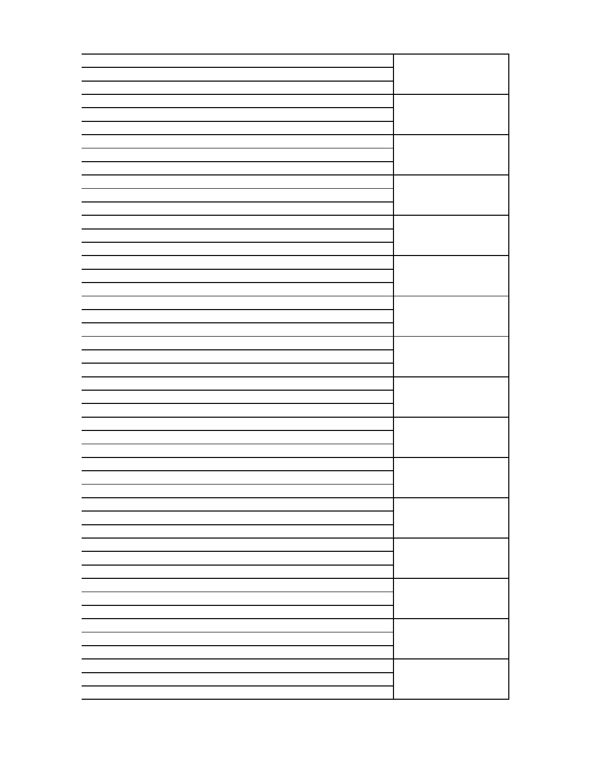| - 1 |
|-----|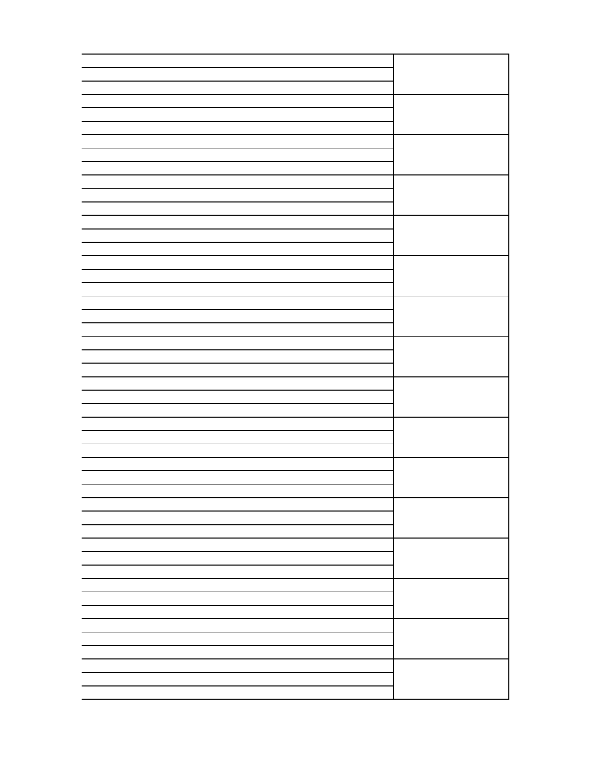| - 1 |
|-----|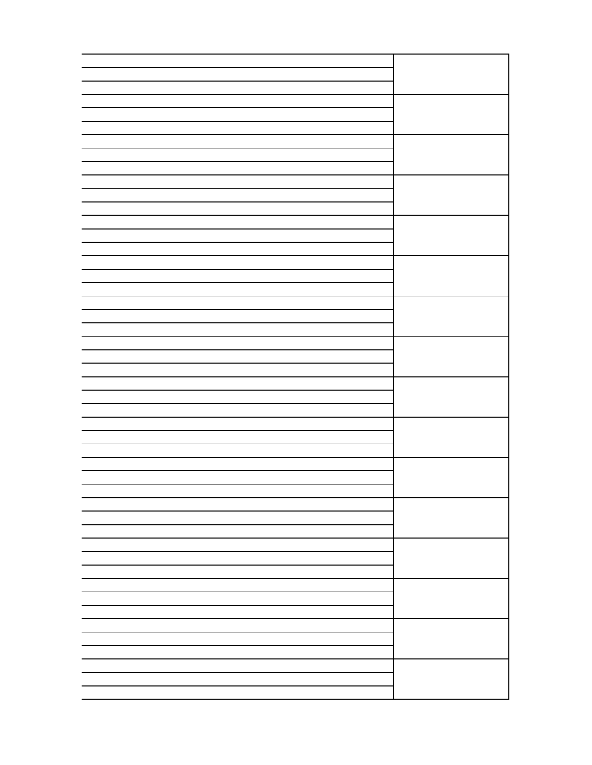| - 1 |
|-----|